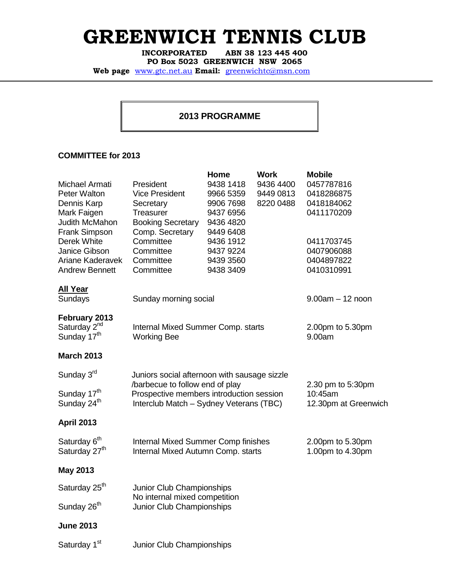## GREENWICH TENNIS CLUB

ABN 38 123 445 400 PO Box 5023 GREENWICH NSW 2065

Web page www.gtc.net.au Email: greenwichtc@msn.com

## **2013 PROGRAMME**

## **COMMITTEE for 2013**

|                           |                                                                 | Home      | <b>Work</b> | <b>Mobile</b>      |
|---------------------------|-----------------------------------------------------------------|-----------|-------------|--------------------|
| Michael Armati            | President                                                       | 9438 1418 | 9436 4400   | 0457787816         |
| Peter Walton              | <b>Vice President</b>                                           | 9966 5359 | 9449 0813   | 0418286875         |
| Dennis Karp               | Secretary                                                       | 9906 7698 | 8220 0488   | 0418184062         |
| Mark Faigen               | Treasurer                                                       | 9437 6956 |             | 0411170209         |
| Judith McMahon            | <b>Booking Secretary</b>                                        | 9436 4820 |             |                    |
| Frank Simpson             | Comp. Secretary                                                 | 9449 6408 |             |                    |
| Derek White               | Committee                                                       | 9436 1912 |             | 0411703745         |
| Janice Gibson             | Committee                                                       | 9437 9224 |             | 0407906088         |
| Ariane Kaderavek          | Committee                                                       | 9439 3560 |             | 0404897822         |
| <b>Andrew Bennett</b>     | Committee                                                       | 9438 3409 |             | 0410310991         |
| <b>All Year</b>           |                                                                 |           |             |                    |
| Sundays                   | Sunday morning social                                           |           |             | $9.00am - 12 noon$ |
| February 2013             |                                                                 |           |             |                    |
| Saturday 2 <sup>nd</sup>  | Internal Mixed Summer Comp. starts                              |           |             | 2.00pm to 5.30pm   |
| Sunday 17 <sup>th</sup>   | <b>Working Bee</b>                                              |           |             | 9.00am             |
| <b>March 2013</b>         |                                                                 |           |             |                    |
| Sunday 3rd                | Juniors social afternoon with sausage sizzle                    |           |             |                    |
|                           | /barbecue to follow end of play                                 |           |             | 2.30 pm to 5:30pm  |
| Sunday 17 <sup>th</sup>   | Prospective members introduction session                        |           |             | 10:45am            |
| Sunday 24 <sup>th</sup>   | Interclub Match - Sydney Veterans (TBC)<br>12.30pm at Greenwich |           |             |                    |
| <b>April 2013</b>         |                                                                 |           |             |                    |
| Saturday 6 <sup>th</sup>  | <b>Internal Mixed Summer Comp finishes</b>                      |           |             | 2.00pm to 5.30pm   |
| Saturday 27 <sup>th</sup> | Internal Mixed Autumn Comp. starts                              |           |             | 1.00pm to 4.30pm   |
| <b>May 2013</b>           |                                                                 |           |             |                    |
| Saturday 25 <sup>th</sup> | Junior Club Championships                                       |           |             |                    |
|                           | No internal mixed competition                                   |           |             |                    |
| Sunday 26 <sup>th</sup>   | Junior Club Championships                                       |           |             |                    |
| <b>June 2013</b>          |                                                                 |           |             |                    |
| Saturday 1 <sup>st</sup>  | Junior Club Championships                                       |           |             |                    |